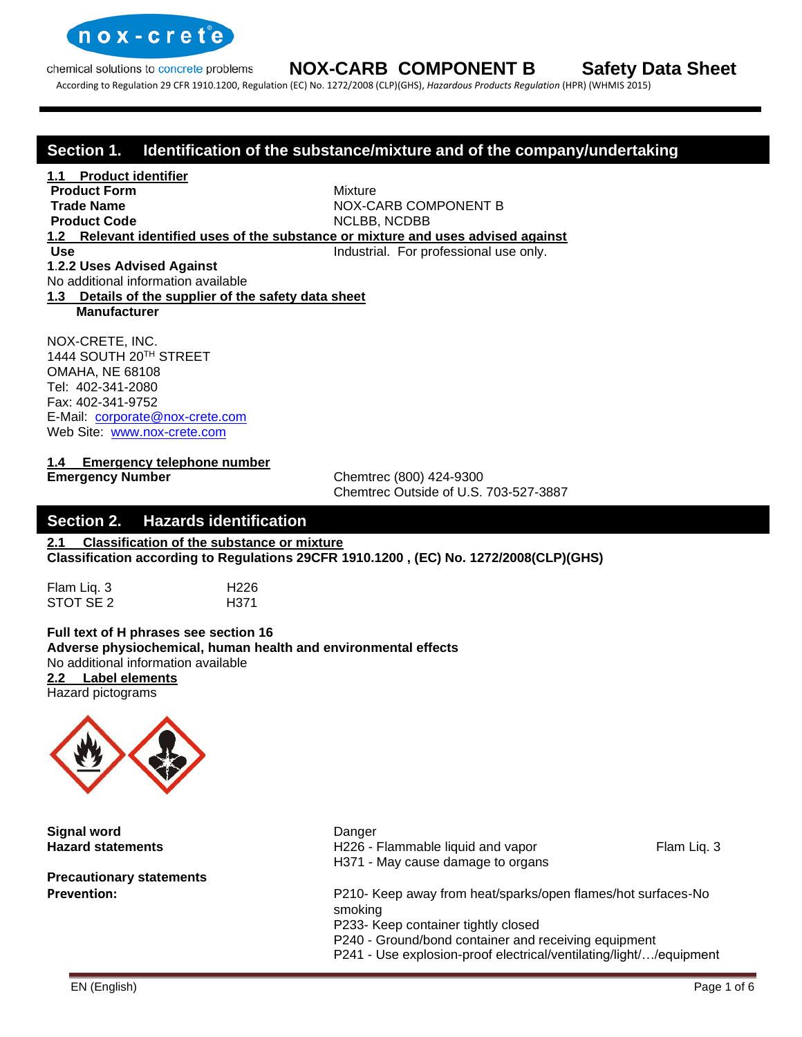

According to Regulation 29 CFR 1910.1200, Regulation (EC) No. 1272/2008 (CLP)(GHS), *Hazardous Products Regulation* (HPR) (WHMIS 2015)

### **Section 1. Identification of the substance/mixture and of the company/undertaking**

**1.1 Product identifier Product Form** Mixture

**Trade Name** NOX-CARB COMPONENT B **Product Code** NCLBB, NCDBB

**1.2 Relevant identified uses of the substance or mixture and uses advised against**

**Use Industrial.** For professional use only. **1**.**2.2 Uses Advised Against**

No additional information available

#### **1.3 Details of the supplier of the safety data sheet Manufacturer**

NOX-CRETE, INC. 1444 SOUTH 20TH STREET OMAHA, NE 68108 Tel: 402-341-2080 Fax: 402-341-9752 E-Mail: [corporate@nox-crete.com](mailto:corperate@nox-crete.com) Web Site: [www.nox-crete.com](http://www.nox-crete.com/)

**1.4 Emergency telephone number**

**Emergency Number** Chemtrec (800) 424-9300 Chemtrec Outside of U.S. 703-527-3887

### **Section 2. Hazards identification**

**2.1 Classification of the substance or mixture Classification according to Regulations 29CFR 1910.1200 , (EC) No. 1272/2008(CLP)(GHS)**

Flam Liq. 3 H226 STOT SE 2 H371

**Full text of H phrases see section 16 Adverse physiochemical, human health and environmental effects** No additional information available **2.2 Label elements** Hazard pictograms



**Signal word** Danger

**Precautionary statements** 

**Hazard statements H226 - Flammable liquid and vapor** Flam Liq. 3 H371 - May cause damage to organs

**Prevention:** P210- Keep away from heat/sparks/open flames/hot surfaces-No smoking P233- Keep container tightly closed

P240 - Ground/bond container and receiving equipment

P241 - Use explosion-proof electrical/ventilating/light/…/equipment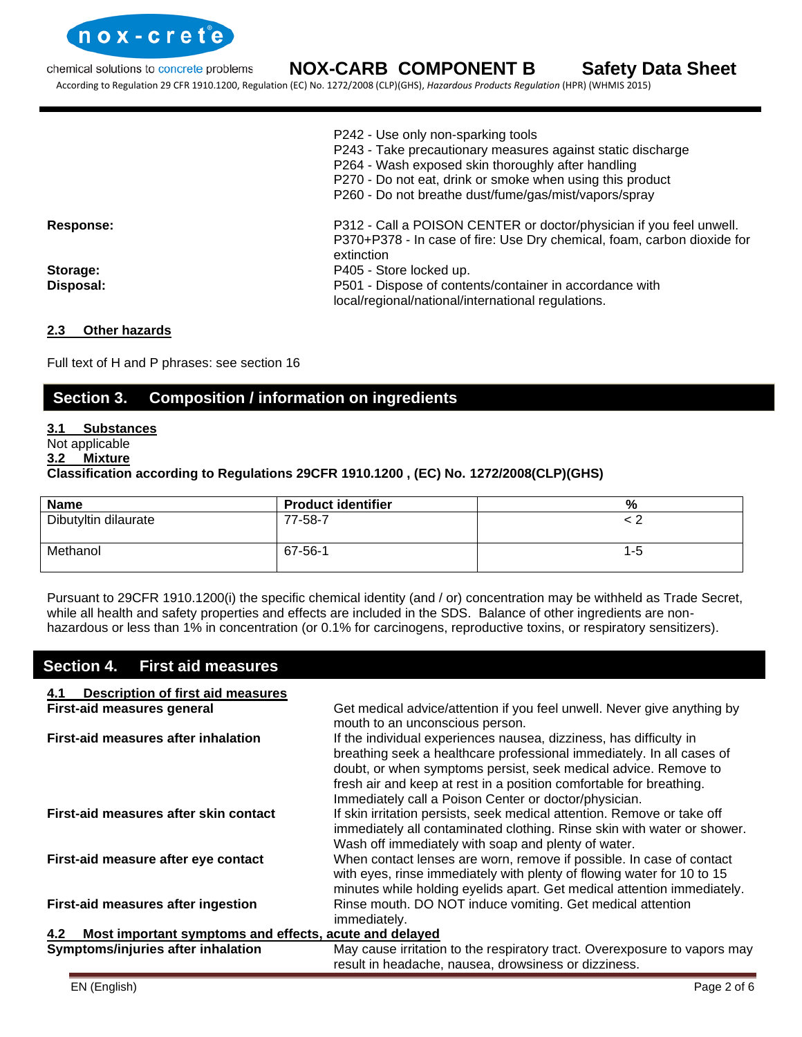

According to Regulation 29 CFR 1910.1200, Regulation (EC) No. 1272/2008 (CLP)(GHS), *Hazardous Products Regulation* (HPR) (WHMIS 2015)

|                  | P242 - Use only non-sparking tools<br>P243 - Take precautionary measures against static discharge<br>P264 - Wash exposed skin thoroughly after handling<br>P270 - Do not eat, drink or smoke when using this product<br>P260 - Do not breathe dust/fume/gas/mist/vapors/spray |
|------------------|-------------------------------------------------------------------------------------------------------------------------------------------------------------------------------------------------------------------------------------------------------------------------------|
| <b>Response:</b> | P312 - Call a POISON CENTER or doctor/physician if you feel unwell.<br>P370+P378 - In case of fire: Use Dry chemical, foam, carbon dioxide for<br>extinction                                                                                                                  |
| Storage:         | P405 - Store locked up.                                                                                                                                                                                                                                                       |
| Disposal:        | P501 - Dispose of contents/container in accordance with<br>local/regional/national/international regulations.                                                                                                                                                                 |

#### **2.3 Other hazards**

Full text of H and P phrases: see section 16

# **Section 3. Composition / information on ingredients**

#### **3.1 Substances**

Not applicable

#### **3.2 Mixture**

#### **Classification according to Regulations 29CFR 1910.1200 , (EC) No. 1272/2008(CLP)(GHS)**

| <b>Name</b>          | <b>Product identifier</b> | %       |
|----------------------|---------------------------|---------|
| Dibutyltin dilaurate | 77-58-7                   |         |
| Methanol             | 67-56-1                   | $1 - 5$ |

Pursuant to 29CFR 1910.1200(i) the specific chemical identity (and / or) concentration may be withheld as Trade Secret, while all health and safety properties and effects are included in the SDS. Balance of other ingredients are nonhazardous or less than 1% in concentration (or 0.1% for carcinogens, reproductive toxins, or respiratory sensitizers).

### **Section 4. First aid measures**

| <b>Description of first aid measures</b><br>4.1               |                                                                                                                                                                                                                                                                                                                                                |
|---------------------------------------------------------------|------------------------------------------------------------------------------------------------------------------------------------------------------------------------------------------------------------------------------------------------------------------------------------------------------------------------------------------------|
| First-aid measures general                                    | Get medical advice/attention if you feel unwell. Never give anything by<br>mouth to an unconscious person.                                                                                                                                                                                                                                     |
| First-aid measures after inhalation                           | If the individual experiences nausea, dizziness, has difficulty in<br>breathing seek a healthcare professional immediately. In all cases of<br>doubt, or when symptoms persist, seek medical advice. Remove to<br>fresh air and keep at rest in a position comfortable for breathing.<br>Immediately call a Poison Center or doctor/physician. |
| First-aid measures after skin contact                         | If skin irritation persists, seek medical attention. Remove or take off<br>immediately all contaminated clothing. Rinse skin with water or shower.<br>Wash off immediately with soap and plenty of water.                                                                                                                                      |
| First-aid measure after eye contact                           | When contact lenses are worn, remove if possible. In case of contact<br>with eyes, rinse immediately with plenty of flowing water for 10 to 15<br>minutes while holding eyelids apart. Get medical attention immediately.                                                                                                                      |
| First-aid measures after ingestion                            | Rinse mouth. DO NOT induce vomiting. Get medical attention<br>immediately.                                                                                                                                                                                                                                                                     |
| Most important symptoms and effects, acute and delayed<br>4.2 |                                                                                                                                                                                                                                                                                                                                                |
| Symptoms/injuries after inhalation                            | May cause irritation to the respiratory tract. Overexposure to vapors may<br>result in headache, nausea, drowsiness or dizziness.                                                                                                                                                                                                              |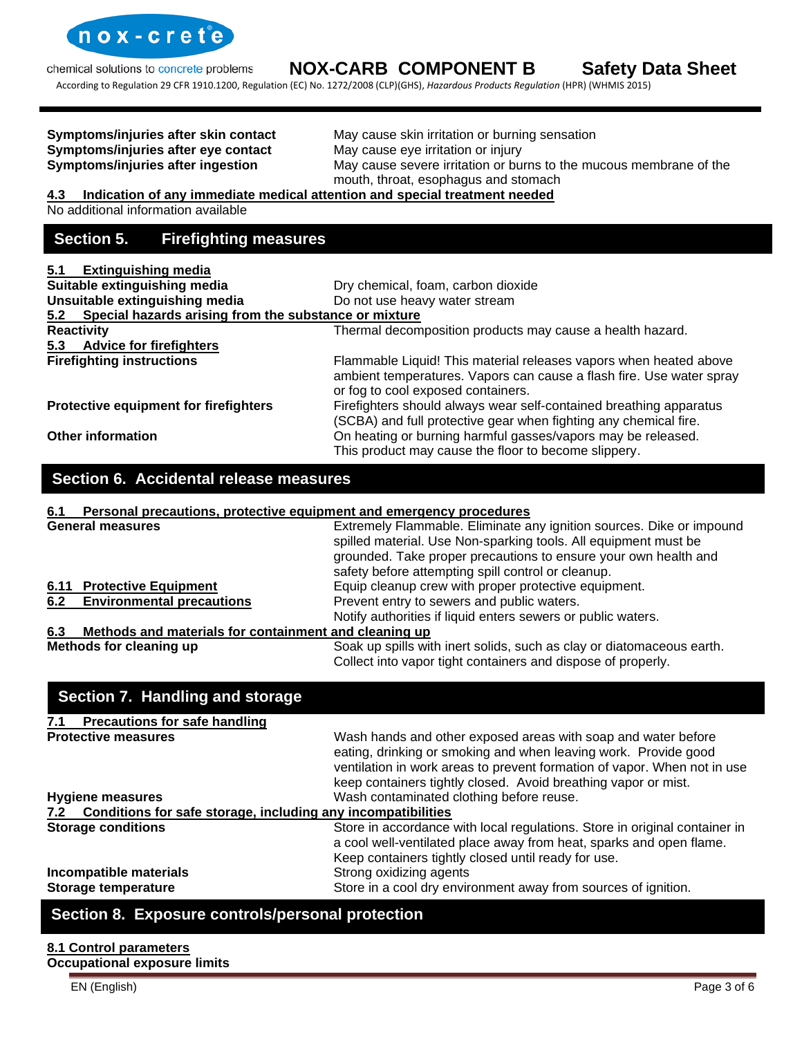

According to Regulation 29 CFR 1910.1200, Regulation (EC) No. 1272/2008 (CLP)(GHS), *Hazardous Products Regulation* (HPR) (WHMIS 2015)

**Symptoms/injuries after eye contact** 

**Symptoms/injuries after skin contact** May cause skin irritation or burning sensation **Symptoms/injuries after eye contact** May cause eye irritation or injury **Symptoms/injuries after ingestion** May cause severe irritation or burns to the mucous membrane of the mouth, throat, esophagus and stomach

#### **4.3 Indication of any immediate medical attention and special treatment needed**

No additional information available

# **Section 5. Firefighting measures**

| 5.1                          | <b>Extinguishing media</b>                                |                                                                                                                                                                                 |
|------------------------------|-----------------------------------------------------------|---------------------------------------------------------------------------------------------------------------------------------------------------------------------------------|
| Suitable extinguishing media |                                                           | Dry chemical, foam, carbon dioxide                                                                                                                                              |
|                              | Unsuitable extinguishing media                            | Do not use heavy water stream                                                                                                                                                   |
|                              | 5.2 Special hazards arising from the substance or mixture |                                                                                                                                                                                 |
|                              | <b>Reactivity</b>                                         | Thermal decomposition products may cause a health hazard.                                                                                                                       |
|                              | 5.3 Advice for firefighters                               |                                                                                                                                                                                 |
|                              | <b>Firefighting instructions</b>                          | Flammable Liquid! This material releases vapors when heated above<br>ambient temperatures. Vapors can cause a flash fire. Use water spray<br>or fog to cool exposed containers. |
|                              | Protective equipment for firefighters                     | Firefighters should always wear self-contained breathing apparatus<br>(SCBA) and full protective gear when fighting any chemical fire.                                          |
|                              | <b>Other information</b>                                  | On heating or burning harmful gasses/vapors may be released.<br>This product may cause the floor to become slippery.                                                            |

# **Section 6. Accidental release measures**

#### **6.1 Personal precautions, protective equipment and emergency procedures**

|                                                                             | <b>General measures</b>                               | Extremely Flammable. Eliminate any ignition sources. Dike or impound<br>spilled material. Use Non-sparking tools. All equipment must be<br>grounded. Take proper precautions to ensure your own health and |
|-----------------------------------------------------------------------------|-------------------------------------------------------|------------------------------------------------------------------------------------------------------------------------------------------------------------------------------------------------------------|
|                                                                             |                                                       | safety before attempting spill control or cleanup.                                                                                                                                                         |
|                                                                             | 6.11 Protective Equipment                             | Equip cleanup crew with proper protective equipment.                                                                                                                                                       |
| 6.2 Environmental precautions<br>Prevent entry to sewers and public waters. |                                                       |                                                                                                                                                                                                            |
|                                                                             |                                                       | Notify authorities if liquid enters sewers or public waters.                                                                                                                                               |
| 6.3                                                                         | Methods and materials for containment and cleaning up |                                                                                                                                                                                                            |
|                                                                             | Methods for cleaning up                               | Soak up spills with inert solids, such as clay or diatomaceous earth.                                                                                                                                      |

Collect into vapor tight containers and dispose of properly.

# **Section 7. Handling and storage**

| <b>Precautions for safe handling</b><br>7.1                      |                                                                                                                                                                                                                                                                                |  |
|------------------------------------------------------------------|--------------------------------------------------------------------------------------------------------------------------------------------------------------------------------------------------------------------------------------------------------------------------------|--|
| <b>Protective measures</b>                                       | Wash hands and other exposed areas with soap and water before<br>eating, drinking or smoking and when leaving work. Provide good<br>ventilation in work areas to prevent formation of vapor. When not in use<br>keep containers tightly closed. Avoid breathing vapor or mist. |  |
| <b>Hygiene measures</b>                                          | Wash contaminated clothing before reuse.                                                                                                                                                                                                                                       |  |
| 7.2 Conditions for safe storage, including any incompatibilities |                                                                                                                                                                                                                                                                                |  |
| <b>Storage conditions</b>                                        | Store in accordance with local regulations. Store in original container in<br>a cool well-ventilated place away from heat, sparks and open flame.<br>Keep containers tightly closed until ready for use.                                                                       |  |
| Incompatible materials<br><b>Storage temperature</b>             | Strong oxidizing agents<br>Store in a cool dry environment away from sources of ignition.                                                                                                                                                                                      |  |

# **Section 8. Exposure controls/personal protection**

#### **8.1 Control parameters Occupational exposure limits**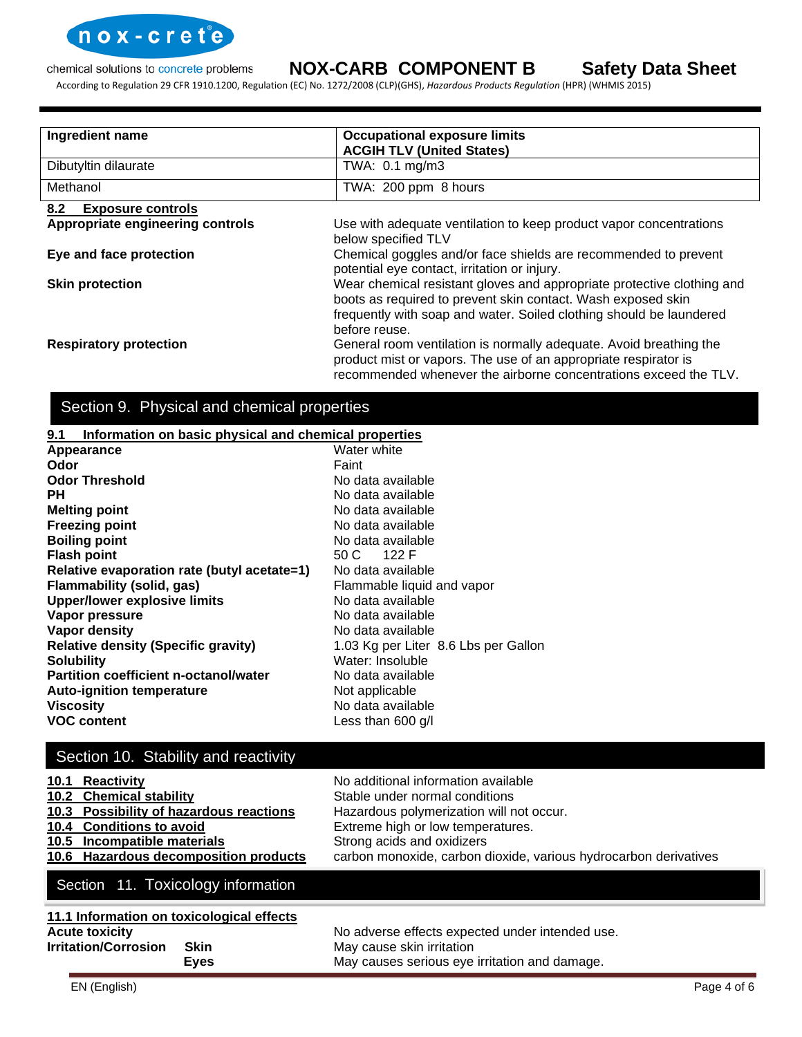

According to Regulation 29 CFR 1910.1200, Regulation (EC) No. 1272/2008 (CLP)(GHS), *Hazardous Products Regulation* (HPR) (WHMIS 2015)

| Ingredient name                  | <b>Occupational exposure limits</b>                                                                                                                                                                                            |  |
|----------------------------------|--------------------------------------------------------------------------------------------------------------------------------------------------------------------------------------------------------------------------------|--|
|                                  | <b>ACGIH TLV (United States)</b>                                                                                                                                                                                               |  |
| Dibutyltin dilaurate             | TWA: 0.1 mg/m3                                                                                                                                                                                                                 |  |
| Methanol                         | TWA: 200 ppm 8 hours                                                                                                                                                                                                           |  |
| 8.2<br><b>Exposure controls</b>  |                                                                                                                                                                                                                                |  |
| Appropriate engineering controls | Use with adequate ventilation to keep product vapor concentrations<br>below specified TLV                                                                                                                                      |  |
| Eye and face protection          | Chemical goggles and/or face shields are recommended to prevent<br>potential eye contact, irritation or injury.                                                                                                                |  |
| <b>Skin protection</b>           | Wear chemical resistant gloves and appropriate protective clothing and<br>boots as required to prevent skin contact. Wash exposed skin<br>frequently with soap and water. Soiled clothing should be laundered<br>before reuse. |  |
| <b>Respiratory protection</b>    | General room ventilation is normally adequate. Avoid breathing the<br>product mist or vapors. The use of an appropriate respirator is<br>recommended whenever the airborne concentrations exceed the TLV.                      |  |

# Section 9. Physical and chemical properties

#### **9.1 Information on basic physical and chemical properties**

| Appearance                                   | Water white                          |
|----------------------------------------------|--------------------------------------|
| Odor                                         | Faint                                |
| <b>Odor Threshold</b>                        | No data available                    |
| <b>PH</b>                                    | No data available                    |
| <b>Melting point</b>                         | No data available                    |
| <b>Freezing point</b>                        | No data available                    |
| <b>Boiling point</b>                         | No data available                    |
| <b>Flash point</b>                           | 50 C 122 F                           |
| Relative evaporation rate (butyl acetate=1)  | No data available                    |
| Flammability (solid, gas)                    | Flammable liquid and vapor           |
| <b>Upper/lower explosive limits</b>          | No data available                    |
| Vapor pressure                               | No data available                    |
| Vapor density                                | No data available                    |
| <b>Relative density (Specific gravity)</b>   | 1.03 Kg per Liter 8.6 Lbs per Gallon |
| <b>Solubility</b>                            | Water: Insoluble                     |
| <b>Partition coefficient n-octanol/water</b> | No data available                    |
| <b>Auto-ignition temperature</b>             | Not applicable                       |
| <b>Viscosity</b>                             | No data available                    |
| <b>VOC content</b>                           | Less than 600 $g/l$                  |

# Section 10. Stability and reactivity

| 10.1 Reactivity<br>10.2 Chemical stability<br>10.3 Possibility of hazardous reactions<br>10.4 Conditions to avoid<br>10.5 Incompatible materials<br>10.6 Hazardous decomposition products | No additional information available<br>Stable under normal conditions<br>Hazardous polymerization will not occur.<br>Extreme high or low temperatures.<br>Strong acids and oxidizers<br>carbon monoxide, carbon dioxide, various hydrocarbon derivatives |
|-------------------------------------------------------------------------------------------------------------------------------------------------------------------------------------------|----------------------------------------------------------------------------------------------------------------------------------------------------------------------------------------------------------------------------------------------------------|
| Section 11. Toxicology information                                                                                                                                                        |                                                                                                                                                                                                                                                          |
| 11.1 Information on toxicological effects<br><b>Acute toxicity</b><br><b>Irritation/Corrosion</b><br><b>Skin</b>                                                                          | No adverse effects expected under intended use.<br>May cause skin irritation                                                                                                                                                                             |

**Eyes** May causes serious eye irritation and damage.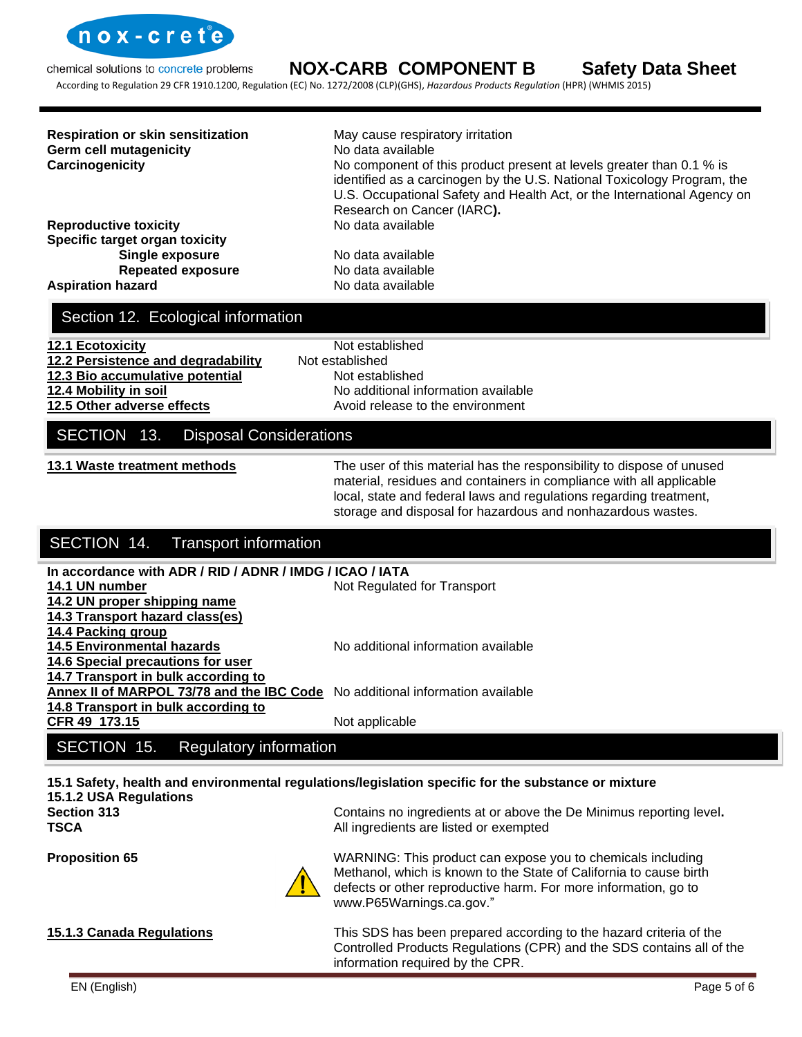

According to Regulation 29 CFR 1910.1200, Regulation (EC) No. 1272/2008 (CLP)(GHS), *Hazardous Products Regulation* (HPR) (WHMIS 2015)

| <b>Respiration or skin sensitization</b><br><b>Germ cell mutagenicity</b><br>Carcinogenicity | May cause respiratory irritation<br>No data available<br>No component of this product present at levels greater than 0.1 % is<br>identified as a carcinogen by the U.S. National Toxicology Program, the<br>U.S. Occupational Safety and Health Act, or the International Agency on<br>Research on Cancer (IARC). |
|----------------------------------------------------------------------------------------------|-------------------------------------------------------------------------------------------------------------------------------------------------------------------------------------------------------------------------------------------------------------------------------------------------------------------|
| <b>Reproductive toxicity</b>                                                                 | No data available                                                                                                                                                                                                                                                                                                 |
| Specific target organ toxicity                                                               |                                                                                                                                                                                                                                                                                                                   |
| Single exposure                                                                              | No data available                                                                                                                                                                                                                                                                                                 |
| <b>Repeated exposure</b>                                                                     | No data available                                                                                                                                                                                                                                                                                                 |
| <b>Aspiration hazard</b>                                                                     | No data available                                                                                                                                                                                                                                                                                                 |

# Section 12. Ecological information

| 12.1 Ecotoxicity                   | Not established                     |
|------------------------------------|-------------------------------------|
| 12.2 Persistence and degradability | Not established                     |
| 12.3 Bio accumulative potential    | Not established                     |
| 12.4 Mobility in soil              | No additional information available |
| 12.5 Other adverse effects         | Avoid release to the environment    |
|                                    |                                     |

### SECTION 13. Disposal Considerations

**13.1 Waste treatment methods** The user of this material has the responsibility to dispose of unused material, residues and containers in compliance with all applicable local, state and federal laws and regulations regarding treatment, storage and disposal for hazardous and nonhazardous wastes.

# SECTION 14. Transport information

| In accordance with ADR / RID / ADNR / IMDG / ICAO / IATA                      |                                     |
|-------------------------------------------------------------------------------|-------------------------------------|
|                                                                               |                                     |
| 14.1 UN number                                                                | Not Regulated for Transport         |
| 14.2 UN proper shipping name                                                  |                                     |
| 14.3 Transport hazard class(es)                                               |                                     |
| 14.4 Packing group                                                            |                                     |
| <b>14.5 Environmental hazards</b>                                             | No additional information available |
| 14.6 Special precautions for user                                             |                                     |
| 14.7 Transport in bulk according to                                           |                                     |
| Annex II of MARPOL 73/78 and the IBC Code No additional information available |                                     |
| 14.8 Transport in bulk according to                                           |                                     |
| CFR 49 173.15                                                                 | Not applicable                      |
|                                                                               |                                     |

# SECTION 15. Regulatory information

# **15.1 Safety, health and environmental regulations/legislation specific for the substance or mixture**

www.P65Warnings.ca.gov."

**15.1.2 USA Regulations Section 313** Contains no ingredients at or above the De Minimus reporting level**. TSCA All ingredients are listed or exempted All ingredients are listed or exempted** 

**Proposition 65** MARNING: This product can expose you to chemicals including

**15.1.3 Canada Regulations** This SDS has been prepared according to the hazard criteria of the Controlled Products Regulations (CPR) and the SDS contains all of the information required by the CPR.

Methanol, which is known to the State of California to cause birth defects or other reproductive harm. For more information, go to